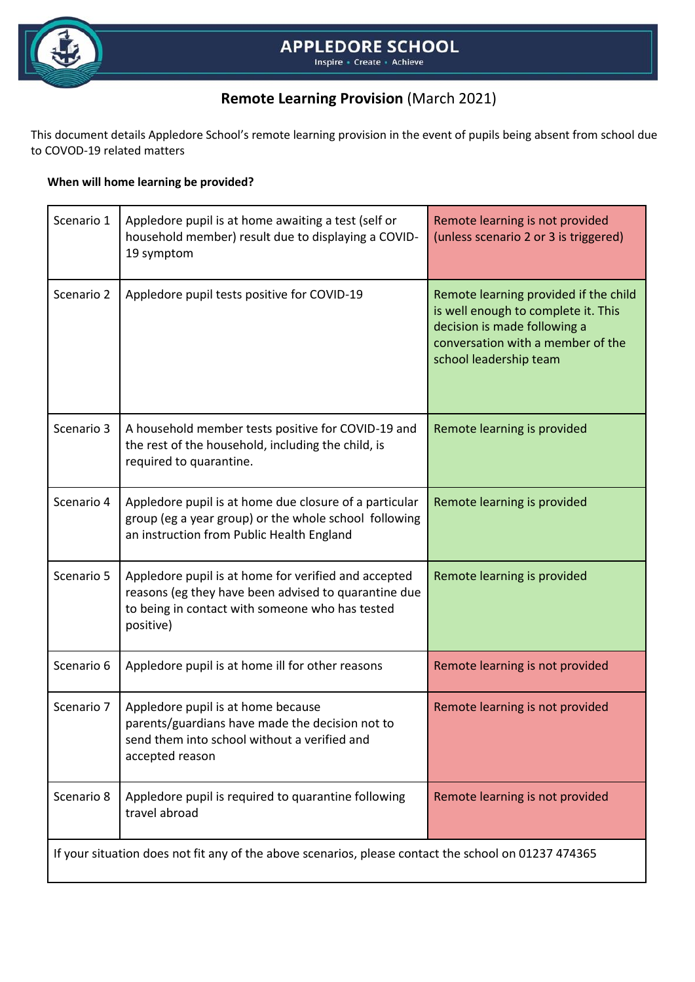

# **Remote Learning Provision** (March 2021)

This document details Appledore School's remote learning provision in the event of pupils being absent from school due to COVOD-19 related matters

### **When will home learning be provided?**

| Scenario 1                                                                                           | Appledore pupil is at home awaiting a test (self or<br>household member) result due to displaying a COVID-<br>19 symptom                                                     | Remote learning is not provided<br>(unless scenario 2 or 3 is triggered)                                                                                                    |
|------------------------------------------------------------------------------------------------------|------------------------------------------------------------------------------------------------------------------------------------------------------------------------------|-----------------------------------------------------------------------------------------------------------------------------------------------------------------------------|
| Scenario 2                                                                                           | Appledore pupil tests positive for COVID-19                                                                                                                                  | Remote learning provided if the child<br>is well enough to complete it. This<br>decision is made following a<br>conversation with a member of the<br>school leadership team |
| Scenario 3                                                                                           | A household member tests positive for COVID-19 and<br>the rest of the household, including the child, is<br>required to quarantine.                                          | Remote learning is provided                                                                                                                                                 |
| Scenario 4                                                                                           | Appledore pupil is at home due closure of a particular<br>group (eg a year group) or the whole school following<br>an instruction from Public Health England                 | Remote learning is provided                                                                                                                                                 |
| Scenario 5                                                                                           | Appledore pupil is at home for verified and accepted<br>reasons (eg they have been advised to quarantine due<br>to being in contact with someone who has tested<br>positive) | Remote learning is provided                                                                                                                                                 |
| Scenario 6                                                                                           | Appledore pupil is at home ill for other reasons                                                                                                                             | Remote learning is not provided                                                                                                                                             |
| Scenario 7                                                                                           | Appledore pupil is at home because<br>parents/guardians have made the decision not to<br>send them into school without a verified and<br>accepted reason                     | Remote learning is not provided                                                                                                                                             |
| Scenario 8                                                                                           | Appledore pupil is required to quarantine following<br>travel abroad                                                                                                         | Remote learning is not provided                                                                                                                                             |
| If your situation does not fit any of the above scenarios, please contact the school on 01237 474365 |                                                                                                                                                                              |                                                                                                                                                                             |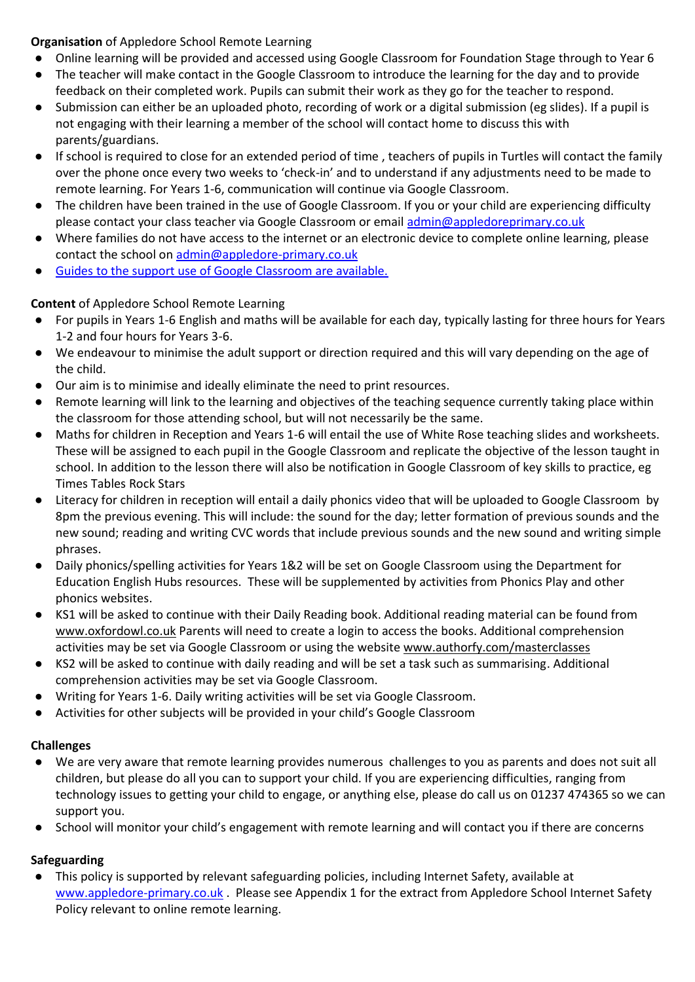### **Organisation** of Appledore School Remote Learning

- Online learning will be provided and accessed using Google Classroom for Foundation Stage through to Year 6
- The teacher will make contact in the Google Classroom to introduce the learning for the day and to provide feedback on their completed work. Pupils can submit their work as they go for the teacher to respond.
- Submission can either be an uploaded photo, recording of work or a digital submission (eg slides). If a pupil is not engaging with their learning a member of the school will contact home to discuss this with parents/guardians.
- If school is required to close for an extended period of time , teachers of pupils in Turtles will contact the family over the phone once every two weeks to 'check-in' and to understand if any adjustments need to be made to remote learning. For Years 1-6, communication will continue via Google Classroom.
- The children have been trained in the use of Google Classroom. If you or your child are experiencing difficulty please contact your class teacher via Google Classroom or emai[l admin@appledoreprimary.co.uk](mailto:admin@appledoreprimary.co.uk)
- Where families do not have access to the internet or an electronic device to complete online learning, please contact the school on [admin@appledore-primary.co.uk](mailto:admin@appledore-primary.co.uk)
- [Guides to the support use of Google Classroom are available.](http://www.appledore-primary.devon.sch.uk/index.php?page=letters-forms)

## **Content** of Appledore School Remote Learning

- For pupils in Years 1-6 English and maths will be available for each day, typically lasting for three hours for Years 1-2 and four hours for Years 3-6.
- We endeavour to minimise the adult support or direction required and this will vary depending on the age of the child.
- Our aim is to minimise and ideally eliminate the need to print resources.
- Remote learning will link to the learning and objectives of the teaching sequence currently taking place within the classroom for those attending school, but will not necessarily be the same.
- Maths for children in Reception and Years 1-6 will entail the use of White Rose teaching slides and worksheets. These will be assigned to each pupil in the Google Classroom and replicate the objective of the lesson taught in school. In addition to the lesson there will also be notification in Google Classroom of key skills to practice, eg Times Tables Rock Stars
- Literacy for children in reception will entail a daily phonics video that will be uploaded to Google Classroom by 8pm the previous evening. This will include: the sound for the day; letter formation of previous sounds and the new sound; reading and writing CVC words that include previous sounds and the new sound and writing simple phrases.
- Daily phonics/spelling activities for Years 1&2 will be set on Google Classroom using the Department for Education English Hubs resources. These will be supplemented by activities from Phonics Play and other phonics websites.
- KS1 will be asked to continue with their Daily Reading book. Additional reading material can be found fro[m](http://www.oxfordowl.co.uk/) [www.oxfordowl.co.uk](http://www.oxfordowl.co.uk/) Parents will need to create a login to access the books. Additional comprehension activities may be set via Google Classroom or using the website [www.authorfy.com/masterclasses](http://www.authorfy.com/masterclasses)
- KS2 will be asked to continue with daily reading and will be set a task such as summarising. Additional comprehension activities may be set via Google Classroom.
- Writing for Years 1-6. Daily writing activities will be set via Google Classroom.
- Activities for other subjects will be provided in your child's Google Classroom

### **Challenges**

- We are very aware that remote learning provides numerous challenges to you as parents and does not suit all children, but please do all you can to support your child. If you are experiencing difficulties, ranging from technology issues to getting your child to engage, or anything else, please do call us on 01237 474365 so we can support you.
- School will monitor your child's engagement with remote learning and will contact you if there are concerns

# **Safeguarding**

This policy is supported by relevant safeguarding policies, including Internet Safety, available at [www.appledore-primary.co.uk](http://www.appledore-primary.co.uk/) . Please see Appendix 1 for the extract from Appledore School Internet Safety Policy relevant to online remote learning.